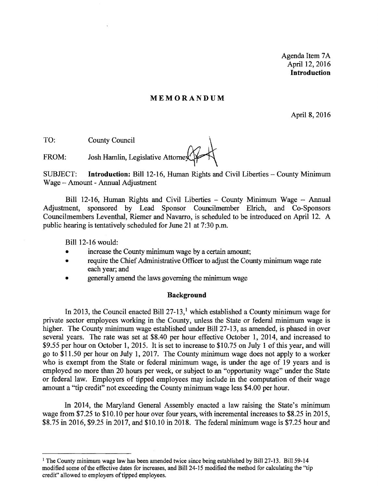Agenda Item 7A April 12, 2016 **Introduction** 

#### **MEMORANDUM**

April 8,2016

TO: County Council

FROM: Josh Hamlin, Legislative Attorney

SUBJECT: **Introduction:** Bill 12-16, Human Rights and Civil Liberties - County Minimum Wage - Amount - Annual Adjustment

Bill 12-16, Human Rights and Civil Liberties - County Minimum Wage - Annual Adjustment, sponsored by Lead Sponsor Councilmember EIrich, and Co-Sponsors Councilmembers Leventhal, Riemer and Navarro, is scheduled to be introduced on April 12. A public hearing is tentatively scheduled for June 21 at 7:30 p.m.

Bill 12-16 would:

- increase the County minimum wage by a certain amount;
- require the Chief Administrative Officer to adjust the County minimum wage rate each year; and
- generally amend the laws governing the minimum wage

#### **Background**

In 2013, the Council enacted Bill  $27-13$ ,<sup>1</sup> which established a County minimum wage for private sector employees working in the County, unless the State or federal minimum wage is higher. The County minimum wage established under Bill 27-13, as amended, is phased in over several years. The rate was set at \$8.40 per hour effective October 1, 2014, and increased to \$9.55 per hour on October 1, 2015. It is set to increase to \$10.75 on July 1 of this year, and will go to \$11.50 per hour on July 1,2017. The County minimum wage does not apply to a worker who is exempt from the State or federal minimum wage, is under the age of 19 years and is employed no more than 20 hours per week, or subject to an "opportunity wage" under the State or federal law. Employers of tipped employees may include in the computation of their wage amount a "tip credit" not exceeding the County minimum wage less \$4.00 per hour.

In 2014, the Maryland General Assembly enacted a law raising the State's minimum wage from \$7.25 to \$10.10 per hour over four years, with incremental increases to \$8.25 in 2015, \$8.75 in 2016, \$9.25 in 2017, and \$10.10 in 2018. The federal minimum wage is \$7.25 hour and

<sup>&</sup>lt;sup>1</sup> The County minimum wage law has been amended twice since being established by Bill 27-13. Bill 59-14 modified some ofthe effective dates for increases, and Bil124-15 modified the method for calculating the "tip credit" allowed to employers of tipped employees.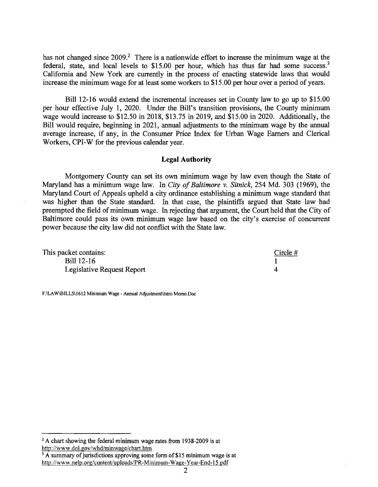has not changed since  $2009<sup>2</sup>$ . There is a nationwide effort to increase the minimum wage at the federal, state, and local levels to \$15.00 per hour, which has thus far had some success.<sup>3</sup> California and New York are currently in the process of enacting statewide laws that would increase the minimum wage for at least some workers to \$15.00 per hour over a period of years.

Bill 12-16 would extend the incremental increases set in County law to go up to \$15.00 per hour effective July 1, 2020. Under the Bill's transition provisions, the County minimum wage would increase to \$12.50 in 2018, \$13.75 in 2019, and \$15.00 in 2020. Additionally, the Bill would require, beginning in 2021, annual adjustments to the minimum wage by the annual average increase, if any, in the Consumer Price Index for Urban Wage Earners and Clerical Workers, CPI-W for the previous calendar year.

#### Legal **Authority**

Montgomery County can set its own minimum wage by law even though the State of Maryland has a minimum wage law. In *City of Baltimore v. Sitnick*, 254 Md. 303 (1969), the Maryland Court of Appeals upheld a city ordinance establishing a minimum wage standard that was higher than the State standard. In that case, the plaintiffs argued that State law had preempted the field of minimum wage. In rejecting that argument, the Court held that the City of Baltimore could pass its own minimum wage law based on the city's exercise of concurrent power because the city law did not conflict with the State law.

| This packet contains:      | Circle $#$ |
|----------------------------|------------|
| <b>Bill 12-16</b>          |            |
| Legislative Request Report |            |

F:\LAW\BILLS\l612 Minimum Wage - Annual Adjustment\Intro Memo.Doc

 $2 A$  chart showing the federal minimum wage rates from 1938-2009 is at http://www.dol.gov/whd/minwage/chart.htm

 $3$  A summary of jurisdictions approving some form of \$15 minimum wage is at http://www.nelp.org/content/uploads/PR-Minimum-Wage-Year-End-15.pdf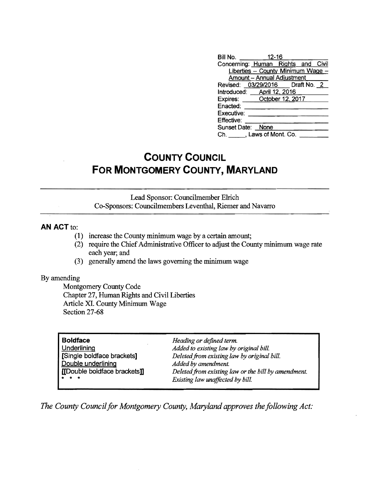| Bill No. 12-16                     |  |  |
|------------------------------------|--|--|
| Concerning: Human Rights and Civil |  |  |
| Liberties - County Minimum Wage -  |  |  |
| <b>Amount - Annual Adjustment</b>  |  |  |
| Revised: 03/29/2016    Draft No. 2 |  |  |
| Introduced: April 12, 2016         |  |  |
| Expires: October 12, 2017          |  |  |
| Enacted:                           |  |  |
| Executive:                         |  |  |
| Effective:                         |  |  |
| Sunset Date: None                  |  |  |
| Ch. J. Laws of Mont. Co.           |  |  |

## **COUNTY COUNCIL FOR MONTGOMERY COUNTY, MARYLAND**

Lead Sponsor: Councilmember EIrich Co-Sponsors: Councilmembers Leventhal, Riemer and Navarro

#### **AN ACT to:**

- $(1)$  increase the County minimum wage by a certain amount;
- (2) require the Chief Administrative Officer to adjust the County minimum wage rate each year; and
- (3) generally amend the laws governing the minimum wage

#### By amending

Montgomery County Code Chapter 27, Human Rights and Civil Liberties Article XI. County Minimum Wage Section 27-68

| <b>Boldface</b>              |
|------------------------------|
| Underlining                  |
| [Single boldface brackets]   |
| Double underlining           |
| [[Double boldface brackets]] |
|                              |

**Boldface** *Heading or defined term.*  Added to existing law by original bill. [Single boldface brackets] *Deletedfrom existing law by original bill.*  Added by amendment.  $Deleted from existing law or the bill by amendment.$  $Existing$  law unaffected by bill.

The County Council for Montgomery County, Maryland approves the following Act: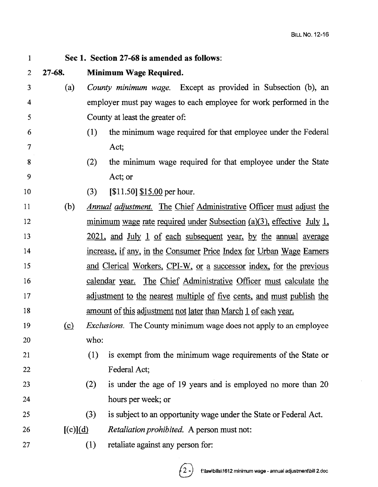#### 1 Sec 1. Section 27-68 is amended as follows:

## 2 27-68. Minimum Wage Required.

- 5 3 (a) *County minimum wage.* Except as provided in Subsection (b), an 4 employer must pay wages to each employee for work performed in the County at least the greater of:
- 6 (1) the minimum wage required for that employee under the Federal 7 Act;
- 8 (2) the minimum wage required for that employee under the State 9 Act; or
- 10 (3) [\$11.50] \$15.00 per hour.
- 15 <sup>11</sup>(b) *Annual adjustment.* The Chief Administrative Officer must adjust the 12 minimum wage rate required under Subsection (a)(3), effective July 1, 13 2021, and July 1 of each subsequent year, by the annual average 14 increase, if any, in the Consumer Price Index for Urban Wage Earners and Clerical Workers, CPI-W, or a successor index, for the previous 16 calendar year. The Chief Administrative Officer must calculate the 17 adjustment to the nearest multiple of five cents, and must publish the 18 amount of this adjustment not later than March 1 of each year.
- 20 19 (Q) *Exclusions.* The County minimum wage does not apply to an employee who:

# 21 (1) is exempt from the minimum wage requirements of the State or 22 Federal Act;

- 23 (2) is under the age of 19 years and is employed no more than  $20$ 24 hours per week; or
- 25 (3) is subject to an opportunity wage under the State or Federal Act.
- 26 [(c)](d) *Retaliation prohibited.* A person must not:
- 27 (1) retaliate against any person for: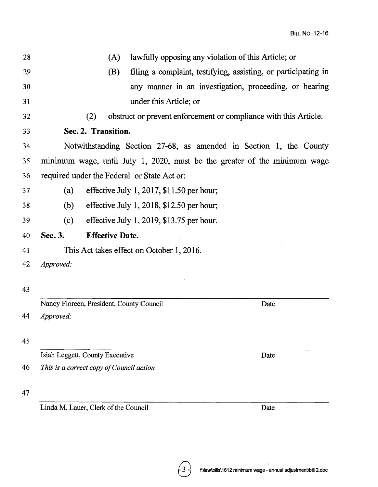| 28 |           | (A)                                       | lawfully opposing any violation of this Article; or                       |
|----|-----------|-------------------------------------------|---------------------------------------------------------------------------|
| 29 |           | (B)                                       | filing a complaint, testifying, assisting, or participating in            |
| 30 |           |                                           | any manner in an investigation, proceeding, or hearing                    |
| 31 |           |                                           | under this Article; or                                                    |
| 32 |           | (2)                                       | obstruct or prevent enforcement or compliance with this Article.          |
| 33 |           | Sec. 2. Transition.                       |                                                                           |
| 34 |           |                                           | Notwithstanding Section 27-68, as amended in Section 1, the County        |
| 35 |           |                                           | minimum wage, until July 1, 2020, must be the greater of the minimum wage |
| 36 |           |                                           | required under the Federal or State Act or:                               |
| 37 | (a)       |                                           | effective July 1, 2017, \$11.50 per hour;                                 |
| 38 | (b)       |                                           | effective July 1, 2018, $$12.50$ per hour;                                |
| 39 | (c)       |                                           | effective July 1, 2019, $$13.75$ per hour.                                |
|    |           |                                           |                                                                           |
| 40 | Sec. 3.   | <b>Effective Date.</b>                    |                                                                           |
| 41 |           |                                           | This Act takes effect on October 1, 2016.                                 |
| 42 | Approved: |                                           |                                                                           |
|    |           |                                           |                                                                           |
| 43 |           |                                           |                                                                           |
|    |           | Nancy Floreen, President, County Council  | Date                                                                      |
| 44 | Approved: |                                           |                                                                           |
| 45 |           |                                           |                                                                           |
|    |           | Isiah Leggett, County Executive           | Date                                                                      |
| 46 |           | This is a correct copy of Council action. |                                                                           |
| 47 |           |                                           |                                                                           |

Linda M. Lauer, Clerk of the Council Date